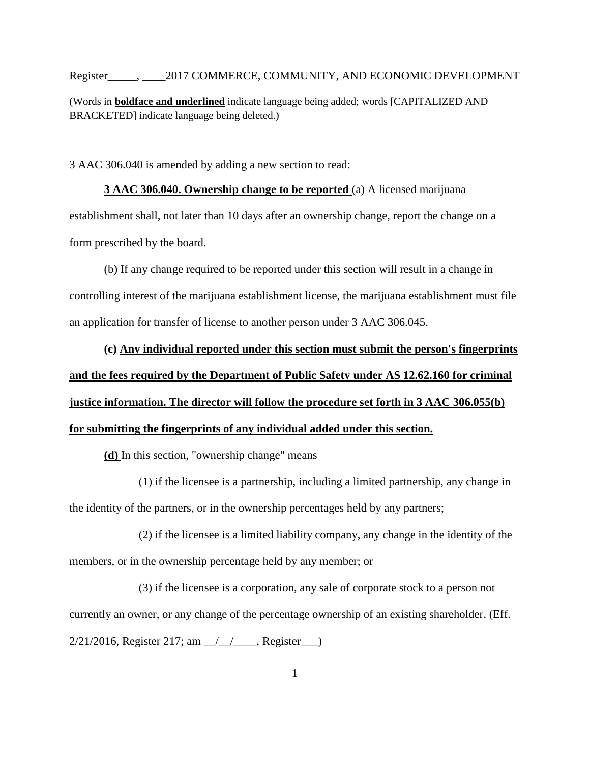Register\_\_\_\_\_, \_\_\_\_2017 COMMERCE, COMMUNITY, AND ECONOMIC DEVELOPMENT (Words in **boldface and underlined** indicate language being added; words [CAPITALIZED AND BRACKETED] indicate language being deleted.)

3 AAC 306.040 is amended by adding a new section to read:

**3 AAC 306.040. Ownership change to be reported** (a) A licensed marijuana establishment shall, not later than 10 days after an ownership change, report the change on a form prescribed by the board.

(b) If any change required to be reported under this section will result in a change in controlling interest of the marijuana establishment license, the marijuana establishment must file an application for transfer of license to another person under 3 AAC 306.045.

**(c) Any individual reported under this section must submit the person's fingerprints and the fees required by the Department of Public Safety under AS 12.62.160 for criminal justice information. The director will follow the procedure set forth in 3 AAC 306.055(b) for submitting the fingerprints of any individual added under this section.**

**(d)** In this section, "ownership change" means

(1) if the licensee is a partnership, including a limited partnership, any change in the identity of the partners, or in the ownership percentages held by any partners;

(2) if the licensee is a limited liability company, any change in the identity of the members, or in the ownership percentage held by any member; or

(3) if the licensee is a corporation, any sale of corporate stock to a person not currently an owner, or any change of the percentage ownership of an existing shareholder. (Eff.  $2/21/2016$ , Register 217; am  $\frac{1}{2}$ , Register  $\frac{1}{2}$